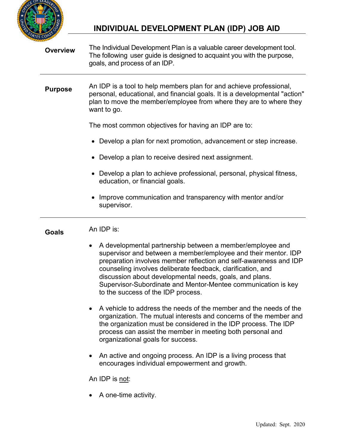

# **INDIVIDUAL DEVELOPMENT PLAN (IDP) JOB AID**

| <b>Overview</b> | The Individual Development Plan is a valuable career development tool.<br>The following user guide is designed to acquaint you with the purpose,<br>goals, and process of an IDP.                                                                                                                                                                                                                                                      |
|-----------------|----------------------------------------------------------------------------------------------------------------------------------------------------------------------------------------------------------------------------------------------------------------------------------------------------------------------------------------------------------------------------------------------------------------------------------------|
| <b>Purpose</b>  | An IDP is a tool to help members plan for and achieve professional,<br>personal, educational, and financial goals. It is a developmental "action"<br>plan to move the member/employee from where they are to where they<br>want to go.                                                                                                                                                                                                 |
|                 | The most common objectives for having an IDP are to:                                                                                                                                                                                                                                                                                                                                                                                   |
|                 | • Develop a plan for next promotion, advancement or step increase.                                                                                                                                                                                                                                                                                                                                                                     |
|                 | • Develop a plan to receive desired next assignment.                                                                                                                                                                                                                                                                                                                                                                                   |
|                 | • Develop a plan to achieve professional, personal, physical fitness,<br>education, or financial goals.                                                                                                                                                                                                                                                                                                                                |
|                 | Improve communication and transparency with mentor and/or<br>supervisor.                                                                                                                                                                                                                                                                                                                                                               |
|                 |                                                                                                                                                                                                                                                                                                                                                                                                                                        |
| <b>Goals</b>    | An IDP is:                                                                                                                                                                                                                                                                                                                                                                                                                             |
|                 | A developmental partnership between a member/employee and<br>٠<br>supervisor and between a member/employee and their mentor. IDP<br>preparation involves member reflection and self-awareness and IDP<br>counseling involves deliberate feedback, clarification, and<br>discussion about developmental needs, goals, and plans.<br>Supervisor-Subordinate and Mentor-Mentee communication is key<br>to the success of the IDP process. |
|                 | A vehicle to address the needs of the member and the needs of the<br>organization. The mutual interests and concerns of the member and<br>the organization must be considered in the IDP process. The IDP<br>process can assist the member in meeting both personal and<br>organizational goals for success.                                                                                                                           |
|                 | An active and ongoing process. An IDP is a living process that<br>encourages individual empowerment and growth.                                                                                                                                                                                                                                                                                                                        |
|                 | An IDP is not:                                                                                                                                                                                                                                                                                                                                                                                                                         |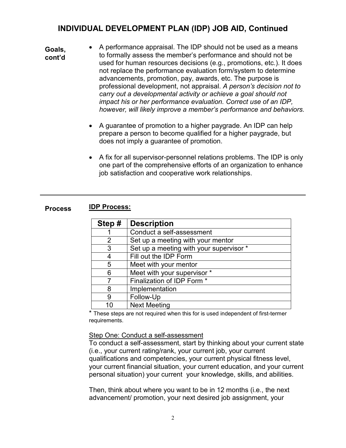- A performance appraisal. The IDP should not be used as a means to formally assess the member's performance and should not be used for human resources decisions (e.g., promotions, etc.). It does not replace the performance evaluation form/system to determine advancements, promotion, pay, awards, etc. The purpose is professional development, not appraisal. *A person's decision not to carry out a developmental activity or achieve a goal should not impact his or her performance evaluation. Correct use of an IDP, however, will likely improve a member's performance and behaviors.* **Goals, cont'd**
	- A guarantee of promotion to a higher paygrade. An IDP can help prepare a person to become qualified for a higher paygrade, but does not imply a guarantee of promotion.
	- A fix for all supervisor-personnel relations problems. The IDP is only one part of the comprehensive efforts of an organization to enhance job satisfaction and cooperative work relationships.

| <b>Process</b> | <b>IDP Process:</b> |
|----------------|---------------------|
|----------------|---------------------|

| Step#          | <b>Description</b>                      |
|----------------|-----------------------------------------|
|                | Conduct a self-assessment               |
| $\overline{2}$ | Set up a meeting with your mentor       |
| 3              | Set up a meeting with your supervisor * |
| 4              | Fill out the IDP Form                   |
| 5              | Meet with your mentor                   |
| 6              | Meet with your supervisor *             |
| 7              | Finalization of IDP Form *              |
| 8              | Implementation                          |
| 9              | Follow-Up                               |
| 1በ             | <b>Next Meeting</b>                     |

\* These steps are not required when this for is used independent of first-termer requirements.

Step One: Conduct a self-assessment

To conduct a self-assessment, start by thinking about your current state (i.e., your current rating/rank, your current job, your current qualifications and competencies, your current physical fitness level, your current financial situation, your current education, and your current personal situation) your current your knowledge, skills, and abilities.

Then, think about where you want to be in 12 months (i.e., the next advancement/ promotion, your next desired job assignment, your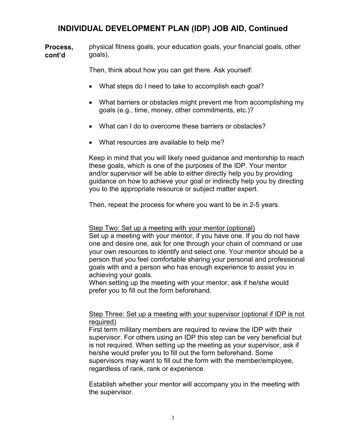physical fitness goals, your education goals, your financial goals, other goals). **Process, cont'd**

Then, think about how you can get there. Ask yourself:

- What steps do I need to take to accomplish each goal?
- What barriers or obstacles might prevent me from accomplishing my goals (e.g., time, money, other commitments, etc.)?
- What can I do to overcome these barriers or obstacles?
- What resources are available to help me?

Keep in mind that you will likely need guidance and mentorship to reach these goals, which is one of the purposes of the IDP. Your mentor and/or supervisor will be able to either directly help you by providing guidance on how to achieve your goal or indirectly help you by directing you to the appropriate resource or subject matter expert.

Then, repeat the process for where you want to be in 2-5 years.

#### Step Two: Set up a meeting with your mentor (optional)

Set up a meeting with your mentor, if you have one. If you do not have one and desire one, ask for one through your chain of command or use your own resources to identify and select one. Your mentor should be a person that you feel comfortable sharing your personal and professional goals with and a person who has enough experience to assist you in achieving your goals.

When setting up the meeting with your mentor, ask if he/she would prefer you to fill out the form beforehand.

#### Step Three: Set up a meeting with your supervisor (optional if IDP is not required)

First term military members are required to review the IDP with their supervisor. For others using an IDP this step can be very beneficial but is not required. When setting up the meeting as your supervisor, ask if he/she would prefer you to fill out the form beforehand. Some supervisors may want to fill out the form with the member/employee, regardless of rank, rank or experience.

Establish whether your mentor will accompany you in the meeting with the supervisor.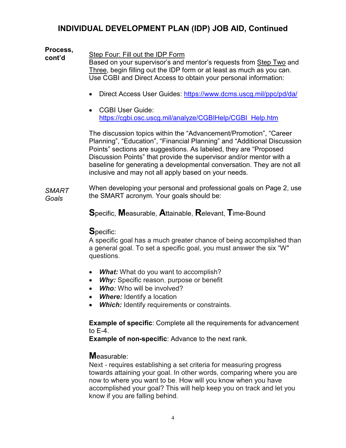#### Step Four: Fill out the IDP Form Based on your supervisor's and mentor's requests from Step Two and Three, begin filling out the IDP form or at least as much as you can. Use CGBI and Direct Access to obtain your personal information: **Process, cont'd**

- Direct Access User Guides:<https://www.dcms.uscg.mil/ppc/pd/da/>
- CGBI User Guide: [https://cgbi.osc.uscg.mil/analyze/CGBIHelp/CGBI\\_Help.htm](https://cgbi.osc.uscg.mil/analyze/CGBIHelp/CGBI_Help.htm)

The discussion topics within the "Advancement/Promotion", "Career Planning", "Education", "Financial Planning" and "Additional Discussion Points" sections are suggestions. As labeled, they are "Proposed Discussion Points" that provide the supervisor and/or mentor with a baseline for generating a developmental conversation. They are not all inclusive and may not all apply based on your needs.

When developing your personal and professional goals on Page 2, use the SMART acronym. Your goals should be: *SMART Goals*

**S**pecific, **M**easurable, **A**ttainable, **R**elevant, **T**ime-Bound

### **S**pecific:

A specific goal has a much greater chance of being accomplished than a general goal. To set a specific goal, you must answer the six "W" questions.

- *What:* What do you want to accomplish?
- *Why:* Specific reason, purpose or benefit
- *Who:* Who will be involved?
- *Where:* Identify a location
- *Which:* Identify requirements or constraints.

**Example of specific**: Complete all the requirements for advancement to E-4.

**Example of non-specific**: Advance to the next rank.

### **M**easurable:

Next - requires establishing a set criteria for measuring progress towards attaining your goal. In other words, comparing where you are now to where you want to be. How will you know when you have accomplished your goal? This will help keep you on track and let you know if you are falling behind.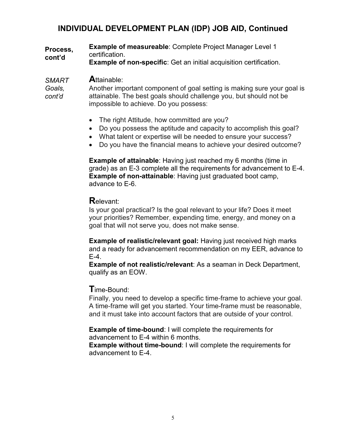**Example of measureable**: Complete Project Manager Level 1 certification. **Process, cont'd**

**Example of non-specific**: Get an initial acquisition certification.

#### **A**ttainable: *SMART*

Another important component of goal setting is making sure your goal is attainable. The best goals should challenge you, but should not be impossible to achieve. Do you possess: *Goals, cont'd*

- The right Attitude, how committed are you?
- Do you possess the aptitude and capacity to accomplish this goal?
- What talent or expertise will be needed to ensure your success?
- Do you have the financial means to achieve your desired outcome?

**Example of attainable**: Having just reached my 6 months (time in grade) as an E-3 complete all the requirements for advancement to E-4. **Example of non-attainable:** Having just graduated boot camp, advance to E-6.

## **R**elevant:

Is your goal practical? Is the goal relevant to your life? Does it meet your priorities? Remember, expending time, energy, and money on a goal that will not serve you, does not make sense.

**Example of realistic/relevant goal:** Having just received high marks and a ready for advancement recommendation on my EER, advance to E-4.

**Example of not realistic/relevant**: As a seaman in Deck Department, qualify as an EOW.

### **T**ime-Bound:

Finally, you need to develop a specific time-frame to achieve your goal. A time-frame will get you started. Your time-frame must be reasonable, and it must take into account factors that are outside of your control.

**Example of time-bound**: I will complete the requirements for advancement to E-4 within 6 months.

**Example without time-bound**: I will complete the requirements for advancement to E-4.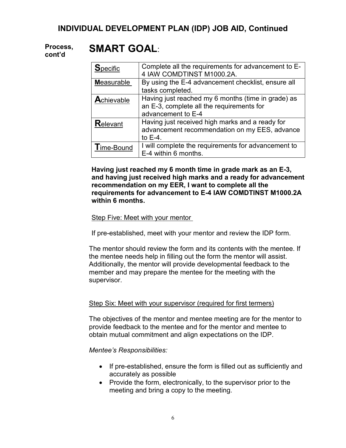#### **SMART GOAL**: **Process, cont'd**

| <b>Specific</b>    | Complete all the requirements for advancement to E-<br>4 IAW COMDTINST M1000.2A.                                      |
|--------------------|-----------------------------------------------------------------------------------------------------------------------|
| <b>Measurable</b>  | By using the E-4 advancement checklist, ensure all<br>tasks completed.                                                |
| <b>A</b> chievable | Having just reached my 6 months (time in grade) as<br>an E-3, complete all the requirements for<br>advancement to E-4 |
| <b>Relevant</b>    | Having just received high marks and a ready for<br>advancement recommendation on my EES, advance<br>to $E-4$ .        |
| <b>Time-Bound</b>  | I will complete the requirements for advancement to<br>E-4 within 6 months.                                           |

**Having just reached my 6 month time in grade mark as an E-3, and having just received high marks and a ready for advancement recommendation on my EER, I want to complete all the requirements for advancement to E-4 IAW COMDTINST M1000.2A within 6 months.**

#### Step Five: Meet with your mentor

If pre-established, meet with your mentor and review the IDP form.

The mentor should review the form and its contents with the mentee. If the mentee needs help in filling out the form the mentor will assist. Additionally, the mentor will provide developmental feedback to the member and may prepare the mentee for the meeting with the supervisor.

#### Step Six: Meet with your supervisor (required for first termers)

The objectives of the mentor and mentee meeting are for the mentor to provide feedback to the mentee and for the mentor and mentee to obtain mutual commitment and align expectations on the IDP.

*Mentee's Responsibilities:*

- If pre-established, ensure the form is filled out as sufficiently and accurately as possible
- Provide the form, electronically, to the supervisor prior to the meeting and bring a copy to the meeting.